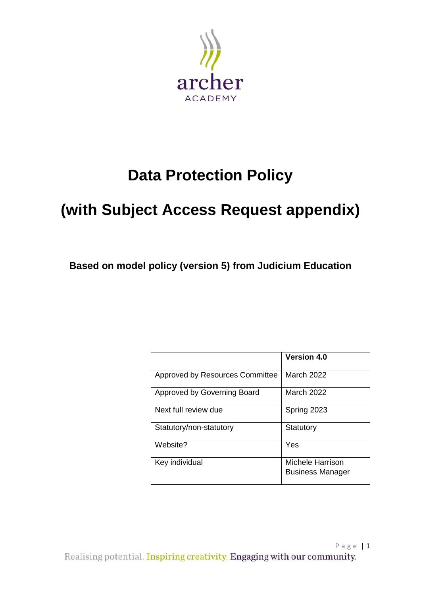

# **Data Protection Policy**

# **(with Subject Access Request appendix)**

**Based on model policy (version 5) from Judicium Education** 

|                                 | <b>Version 4.0</b>                          |
|---------------------------------|---------------------------------------------|
| Approved by Resources Committee | March 2022                                  |
| Approved by Governing Board     | March 2022                                  |
| Next full review due            | Spring 2023                                 |
| Statutory/non-statutory         | Statutory                                   |
| Website?                        | Yes                                         |
| Key individual                  | Michele Harrison<br><b>Business Manager</b> |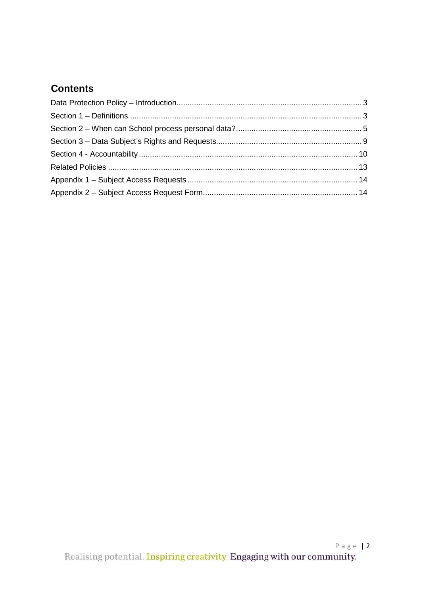# **Contents**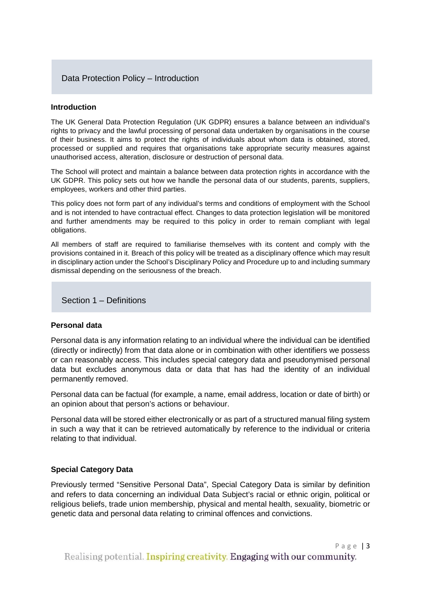# Data Protection Policy – Introduction

#### **Introduction**

The UK General Data Protection Regulation (UK GDPR) ensures a balance between an individual's rights to privacy and the lawful processing of personal data undertaken by organisations in the course of their business. It aims to protect the rights of individuals about whom data is obtained, stored, processed or supplied and requires that organisations take appropriate security measures against unauthorised access, alteration, disclosure or destruction of personal data.

The School will protect and maintain a balance between data protection rights in accordance with the UK GDPR. This policy sets out how we handle the personal data of our students, parents, suppliers, employees, workers and other third parties.

This policy does not form part of any individual's terms and conditions of employment with the School and is not intended to have contractual effect. Changes to data protection legislation will be monitored and further amendments may be required to this policy in order to remain compliant with legal obligations.

All members of staff are required to familiarise themselves with its content and comply with the provisions contained in it. Breach of this policy will be treated as a disciplinary offence which may result in disciplinary action under the School's Disciplinary Policy and Procedure up to and including summary dismissal depending on the seriousness of the breach.

Section 1 – Definitions

#### **Personal data**

Personal data is any information relating to an individual where the individual can be identified (directly or indirectly) from that data alone or in combination with other identifiers we possess or can reasonably access. This includes special category data and pseudonymised personal data but excludes anonymous data or data that has had the identity of an individual permanently removed.

Personal data can be factual (for example, a name, email address, location or date of birth) or an opinion about that person's actions or behaviour.

Personal data will be stored either electronically or as part of a structured manual filing system in such a way that it can be retrieved automatically by reference to the individual or criteria relating to that individual.

#### **Special Category Data**

Previously termed "Sensitive Personal Data", Special Category Data is similar by definition and refers to data concerning an individual Data Subject's racial or ethnic origin, political or religious beliefs, trade union membership, physical and mental health, sexuality, biometric or genetic data and personal data relating to criminal offences and convictions.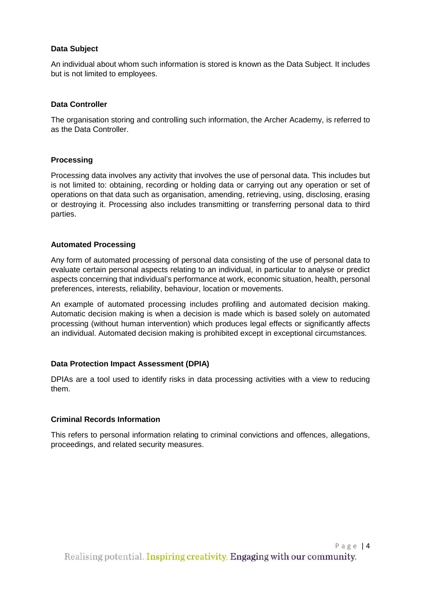# **Data Subject**

An individual about whom such information is stored is known as the Data Subject. It includes but is not limited to employees.

#### **Data Controller**

The organisation storing and controlling such information, the Archer Academy, is referred to as the Data Controller.

#### **Processing**

Processing data involves any activity that involves the use of personal data. This includes but is not limited to: obtaining, recording or holding data or carrying out any operation or set of operations on that data such as organisation, amending, retrieving, using, disclosing, erasing or destroying it. Processing also includes transmitting or transferring personal data to third parties.

# **Automated Processing**

Any form of automated processing of personal data consisting of the use of personal data to evaluate certain personal aspects relating to an individual, in particular to analyse or predict aspects concerning that individual's performance at work, economic situation, health, personal preferences, interests, reliability, behaviour, location or movements.

An example of automated processing includes profiling and automated decision making. Automatic decision making is when a decision is made which is based solely on automated processing (without human intervention) which produces legal effects or significantly affects an individual. Automated decision making is prohibited except in exceptional circumstances.

#### **Data Protection Impact Assessment (DPIA)**

DPIAs are a tool used to identify risks in data processing activities with a view to reducing them.

#### **Criminal Records Information**

This refers to personal information relating to criminal convictions and offences, allegations, proceedings, and related security measures.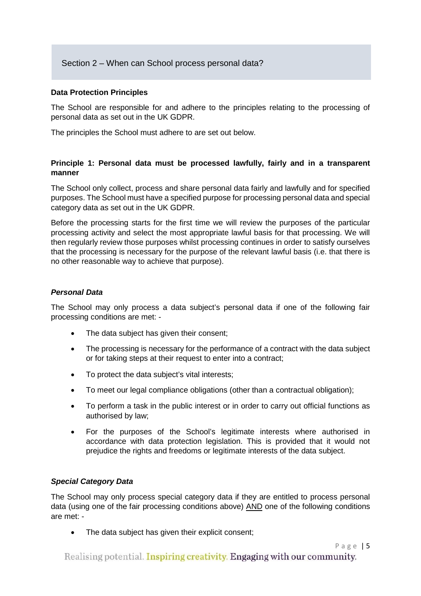# Section 2 – When can School process personal data?

#### **Data Protection Principles**

The School are responsible for and adhere to the principles relating to the processing of personal data as set out in the UK GDPR.

The principles the School must adhere to are set out below.

# **Principle 1: Personal data must be processed lawfully, fairly and in a transparent manner**

The School only collect, process and share personal data fairly and lawfully and for specified purposes. The School must have a specified purpose for processing personal data and special category data as set out in the UK GDPR.

Before the processing starts for the first time we will review the purposes of the particular processing activity and select the most appropriate lawful basis for that processing. We will then regularly review those purposes whilst processing continues in order to satisfy ourselves that the processing is necessary for the purpose of the relevant lawful basis (i.e. that there is no other reasonable way to achieve that purpose).

#### *Personal Data*

The School may only process a data subject's personal data if one of the following fair processing conditions are met: -

- The data subject has given their consent;
- The processing is necessary for the performance of a contract with the data subject or for taking steps at their request to enter into a contract;
- To protect the data subject's vital interests;
- To meet our legal compliance obligations (other than a contractual obligation);
- To perform a task in the public interest or in order to carry out official functions as authorised by law;
- For the purposes of the School's legitimate interests where authorised in accordance with data protection legislation. This is provided that it would not prejudice the rights and freedoms or legitimate interests of the data subject.

#### *Special Category Data*

The School may only process special category data if they are entitled to process personal data (using one of the fair processing conditions above) AND one of the following conditions are met: -

• The data subject has given their explicit consent;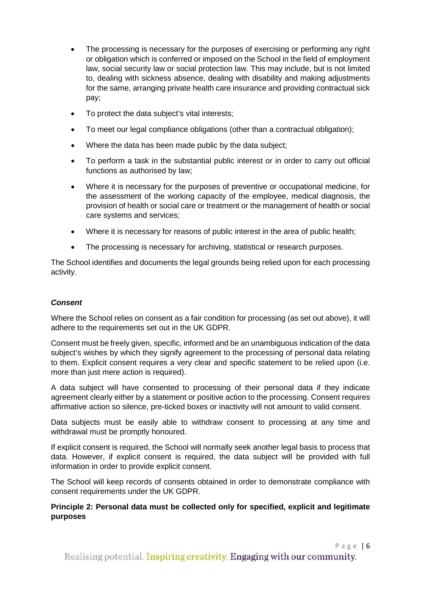- The processing is necessary for the purposes of exercising or performing any right or obligation which is conferred or imposed on the School in the field of employment law, social security law or social protection law. This may include, but is not limited to, dealing with sickness absence, dealing with disability and making adjustments for the same, arranging private health care insurance and providing contractual sick pay;
- To protect the data subject's vital interests;
- To meet our legal compliance obligations (other than a contractual obligation);
- Where the data has been made public by the data subject;
- To perform a task in the substantial public interest or in order to carry out official functions as authorised by law;
- Where it is necessary for the purposes of preventive or occupational medicine, for the assessment of the working capacity of the employee, medical diagnosis, the provision of health or social care or treatment or the management of health or social care systems and services;
- Where it is necessary for reasons of public interest in the area of public health;
- The processing is necessary for archiving, statistical or research purposes.

The School identifies and documents the legal grounds being relied upon for each processing activity.

# *Consent*

Where the School relies on consent as a fair condition for processing (as set out above), it will adhere to the requirements set out in the UK GDPR.

Consent must be freely given, specific, informed and be an unambiguous indication of the data subject's wishes by which they signify agreement to the processing of personal data relating to them. Explicit consent requires a very clear and specific statement to be relied upon (i.e. more than just mere action is required).

A data subject will have consented to processing of their personal data if they indicate agreement clearly either by a statement or positive action to the processing. Consent requires affirmative action so silence, pre-ticked boxes or inactivity will not amount to valid consent.

Data subjects must be easily able to withdraw consent to processing at any time and withdrawal must be promptly honoured.

If explicit consent is required, the School will normally seek another legal basis to process that data. However, if explicit consent is required, the data subject will be provided with full information in order to provide explicit consent.

The School will keep records of consents obtained in order to demonstrate compliance with consent requirements under the UK GDPR.

# **Principle 2: Personal data must be collected only for specified, explicit and legitimate purposes**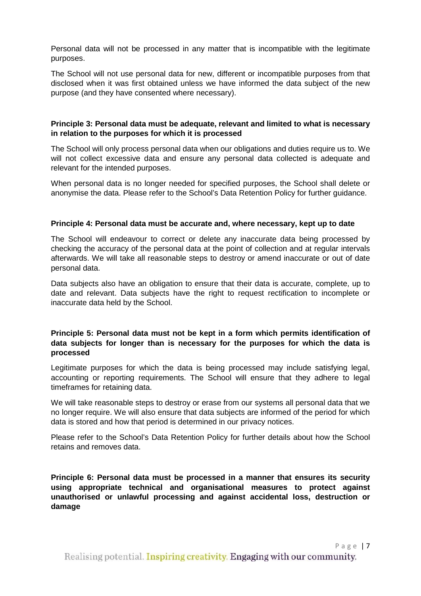Personal data will not be processed in any matter that is incompatible with the legitimate purposes.

The School will not use personal data for new, different or incompatible purposes from that disclosed when it was first obtained unless we have informed the data subject of the new purpose (and they have consented where necessary).

#### **Principle 3: Personal data must be adequate, relevant and limited to what is necessary in relation to the purposes for which it is processed**

The School will only process personal data when our obligations and duties require us to. We will not collect excessive data and ensure any personal data collected is adequate and relevant for the intended purposes.

When personal data is no longer needed for specified purposes, the School shall delete or anonymise the data. Please refer to the School's Data Retention Policy for further guidance.

#### **Principle 4: Personal data must be accurate and, where necessary, kept up to date**

The School will endeavour to correct or delete any inaccurate data being processed by checking the accuracy of the personal data at the point of collection and at regular intervals afterwards. We will take all reasonable steps to destroy or amend inaccurate or out of date personal data.

Data subjects also have an obligation to ensure that their data is accurate, complete, up to date and relevant. Data subjects have the right to request rectification to incomplete or inaccurate data held by the School.

#### **Principle 5: Personal data must not be kept in a form which permits identification of data subjects for longer than is necessary for the purposes for which the data is processed**

Legitimate purposes for which the data is being processed may include satisfying legal, accounting or reporting requirements. The School will ensure that they adhere to legal timeframes for retaining data.

We will take reasonable steps to destroy or erase from our systems all personal data that we no longer require. We will also ensure that data subjects are informed of the period for which data is stored and how that period is determined in our privacy notices.

Please refer to the School's Data Retention Policy for further details about how the School retains and removes data.

**Principle 6: Personal data must be processed in a manner that ensures its security using appropriate technical and organisational measures to protect against unauthorised or unlawful processing and against accidental loss, destruction or damage**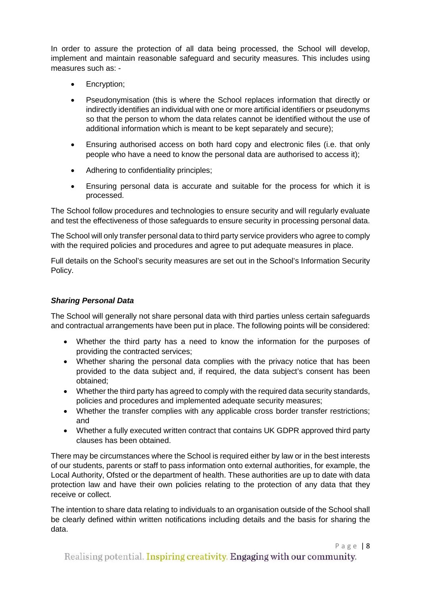In order to assure the protection of all data being processed, the School will develop, implement and maintain reasonable safeguard and security measures. This includes using measures such as: -

- Encryption;
- Pseudonymisation (this is where the School replaces information that directly or indirectly identifies an individual with one or more artificial identifiers or pseudonyms so that the person to whom the data relates cannot be identified without the use of additional information which is meant to be kept separately and secure);
- Ensuring authorised access on both hard copy and electronic files (i.e. that only people who have a need to know the personal data are authorised to access it);
- Adhering to confidentiality principles;
- Ensuring personal data is accurate and suitable for the process for which it is processed.

The School follow procedures and technologies to ensure security and will regularly evaluate and test the effectiveness of those safeguards to ensure security in processing personal data.

The School will only transfer personal data to third party service providers who agree to comply with the required policies and procedures and agree to put adequate measures in place.

Full details on the School's security measures are set out in the School's Information Security Policy.

# *Sharing Personal Data*

The School will generally not share personal data with third parties unless certain safeguards and contractual arrangements have been put in place. The following points will be considered:

- Whether the third party has a need to know the information for the purposes of providing the contracted services;
- Whether sharing the personal data complies with the privacy notice that has been provided to the data subject and, if required, the data subject's consent has been obtained;
- Whether the third party has agreed to comply with the required data security standards, policies and procedures and implemented adequate security measures;
- Whether the transfer complies with any applicable cross border transfer restrictions; and
- Whether a fully executed written contract that contains UK GDPR approved third party clauses has been obtained.

There may be circumstances where the School is required either by law or in the best interests of our students, parents or staff to pass information onto external authorities, for example, the Local Authority, Ofsted or the department of health. These authorities are up to date with data protection law and have their own policies relating to the protection of any data that they receive or collect.

The intention to share data relating to individuals to an organisation outside of the School shall be clearly defined within written notifications including details and the basis for sharing the data.

Page | 8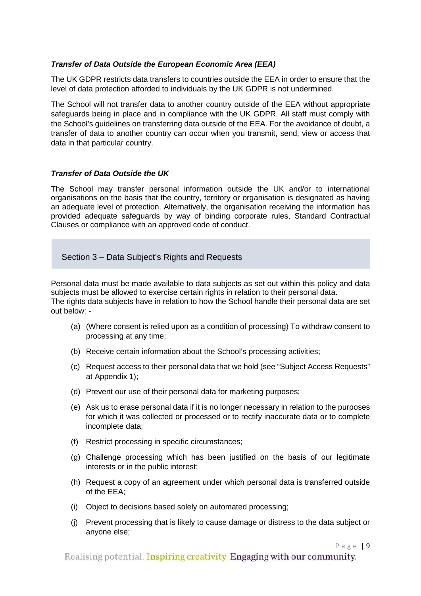# *Transfer of Data Outside the European Economic Area (EEA)*

The UK GDPR restricts data transfers to countries outside the EEA in order to ensure that the level of data protection afforded to individuals by the UK GDPR is not undermined.

The School will not transfer data to another country outside of the EEA without appropriate safeguards being in place and in compliance with the UK GDPR. All staff must comply with the School's guidelines on transferring data outside of the EEA. For the avoidance of doubt, a transfer of data to another country can occur when you transmit, send, view or access that data in that particular country.

# *Transfer of Data Outside the UK*

The School may transfer personal information outside the UK and/or to international organisations on the basis that the country, territory or organisation is designated as having an adequate level of protection. Alternatively, the organisation receiving the information has provided adequate safeguards by way of binding corporate rules, Standard Contractual Clauses or compliance with an approved code of conduct.

Section 3 – Data Subject's Rights and Requests

Personal data must be made available to data subjects as set out within this policy and data subjects must be allowed to exercise certain rights in relation to their personal data. The rights data subjects have in relation to how the School handle their personal data are set out below: -

- (a) (Where consent is relied upon as a condition of processing) To withdraw consent to processing at any time;
- (b) Receive certain information about the School's processing activities;
- (c) Request access to their personal data that we hold (see "Subject Access Requests" at Appendix 1);
- (d) Prevent our use of their personal data for marketing purposes;
- (e) Ask us to erase personal data if it is no longer necessary in relation to the purposes for which it was collected or processed or to rectify inaccurate data or to complete incomplete data;
- (f) Restrict processing in specific circumstances;
- (g) Challenge processing which has been justified on the basis of our legitimate interests or in the public interest;
- (h) Request a copy of an agreement under which personal data is transferred outside of the EEA;
- (i) Object to decisions based solely on automated processing;
- (j) Prevent processing that is likely to cause damage or distress to the data subject or anyone else;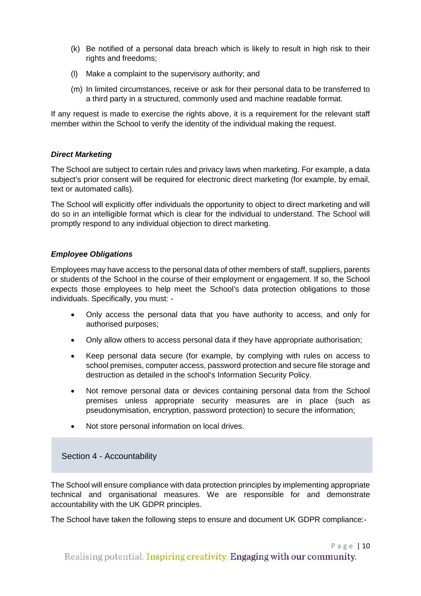- (k) Be notified of a personal data breach which is likely to result in high risk to their rights and freedoms;
- (l) Make a complaint to the supervisory authority; and
- (m) In limited circumstances, receive or ask for their personal data to be transferred to a third party in a structured, commonly used and machine readable format.

If any request is made to exercise the rights above, it is a requirement for the relevant staff member within the School to verify the identity of the individual making the request.

# *Direct Marketing*

The School are subject to certain rules and privacy laws when marketing. For example, a data subject's prior consent will be required for electronic direct marketing (for example, by email, text or automated calls).

The School will explicitly offer individuals the opportunity to object to direct marketing and will do so in an intelligible format which is clear for the individual to understand. The School will promptly respond to any individual objection to direct marketing.

# *Employee Obligations*

Employees may have access to the personal data of other members of staff, suppliers, parents or students of the School in the course of their employment or engagement. If so, the School expects those employees to help meet the School's data protection obligations to those individuals. Specifically, you must: -

- Only access the personal data that you have authority to access, and only for authorised purposes;
- Only allow others to access personal data if they have appropriate authorisation;
- Keep personal data secure (for example, by complying with rules on access to school premises, computer access, password protection and secure file storage and destruction as detailed in the school's Information Security Policy.
- Not remove personal data or devices containing personal data from the School premises unless appropriate security measures are in place (such as pseudonymisation, encryption, password protection) to secure the information;
- Not store personal information on local drives.

# Section 4 - Accountability

The School will ensure compliance with data protection principles by implementing appropriate technical and organisational measures. We are responsible for and demonstrate accountability with the UK GDPR principles.

The School have taken the following steps to ensure and document UK GDPR compliance:-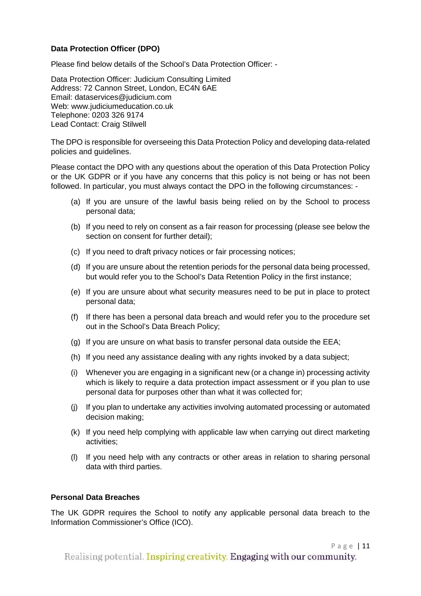# **Data Protection Officer (DPO)**

Please find below details of the School's Data Protection Officer: -

Data Protection Officer: Judicium Consulting Limited Address: 72 Cannon Street, London, EC4N 6AE Email: [dataservices@judicium.com](mailto:dataservices@judicium.com) Web: www.judiciumeducation.co.uk Telephone: 0203 326 9174 Lead Contact: Craig Stilwell

The DPO is responsible for overseeing this Data Protection Policy and developing data-related policies and guidelines.

Please contact the DPO with any questions about the operation of this Data Protection Policy or the UK GDPR or if you have any concerns that this policy is not being or has not been followed. In particular, you must always contact the DPO in the following circumstances: -

- (a) If you are unsure of the lawful basis being relied on by the School to process personal data;
- (b) If you need to rely on consent as a fair reason for processing (please see below the section on consent for further detail);
- (c) If you need to draft privacy notices or fair processing notices;
- (d) If you are unsure about the retention periods for the personal data being processed, but would refer you to the School's Data Retention Policy in the first instance;
- (e) If you are unsure about what security measures need to be put in place to protect personal data;
- (f) If there has been a personal data breach and would refer you to the procedure set out in the School's Data Breach Policy;
- (g) If you are unsure on what basis to transfer personal data outside the EEA;
- (h) If you need any assistance dealing with any rights invoked by a data subject;
- (i) Whenever you are engaging in a significant new (or a change in) processing activity which is likely to require a data protection impact assessment or if you plan to use personal data for purposes other than what it was collected for;
- (j) If you plan to undertake any activities involving automated processing or automated decision making;
- (k) If you need help complying with applicable law when carrying out direct marketing activities;
- (l) If you need help with any contracts or other areas in relation to sharing personal data with third parties.

#### **Personal Data Breaches**

The UK GDPR requires the School to notify any applicable personal data breach to the Information Commissioner's Office (ICO).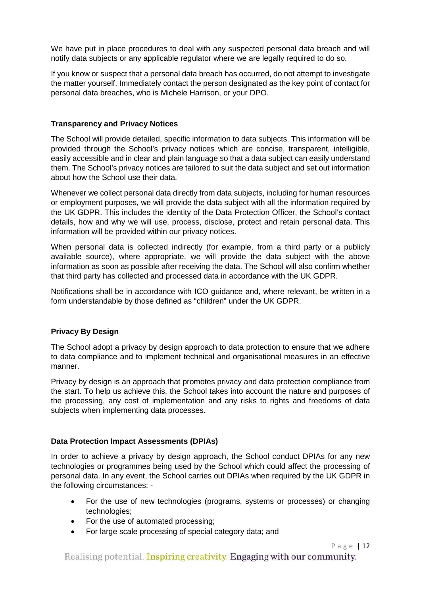We have put in place procedures to deal with any suspected personal data breach and will notify data subjects or any applicable regulator where we are legally required to do so.

If you know or suspect that a personal data breach has occurred, do not attempt to investigate the matter yourself. Immediately contact the person designated as the key point of contact for personal data breaches, who is Michele Harrison, or your DPO.

# **Transparency and Privacy Notices**

The School will provide detailed, specific information to data subjects. This information will be provided through the School's privacy notices which are concise, transparent, intelligible, easily accessible and in clear and plain language so that a data subject can easily understand them. The School's privacy notices are tailored to suit the data subject and set out information about how the School use their data.

Whenever we collect personal data directly from data subjects, including for human resources or employment purposes, we will provide the data subject with all the information required by the UK GDPR. This includes the identity of the Data Protection Officer, the School's contact details, how and why we will use, process, disclose, protect and retain personal data. This information will be provided within our privacy notices.

When personal data is collected indirectly (for example, from a third party or a publicly available source), where appropriate, we will provide the data subject with the above information as soon as possible after receiving the data. The School will also confirm whether that third party has collected and processed data in accordance with the UK GDPR.

Notifications shall be in accordance with ICO guidance and, where relevant, be written in a form understandable by those defined as "children" under the UK GDPR.

# **Privacy By Design**

The School adopt a privacy by design approach to data protection to ensure that we adhere to data compliance and to implement technical and organisational measures in an effective manner.

Privacy by design is an approach that promotes privacy and data protection compliance from the start. To help us achieve this, the School takes into account the nature and purposes of the processing, any cost of implementation and any risks to rights and freedoms of data subjects when implementing data processes.

# **Data Protection Impact Assessments (DPIAs)**

In order to achieve a privacy by design approach, the School conduct DPIAs for any new technologies or programmes being used by the School which could affect the processing of personal data. In any event, the School carries out DPIAs when required by the UK GDPR in the following circumstances: -

- For the use of new technologies (programs, systems or processes) or changing technologies;
- For the use of automated processing;
- For large scale processing of special category data; and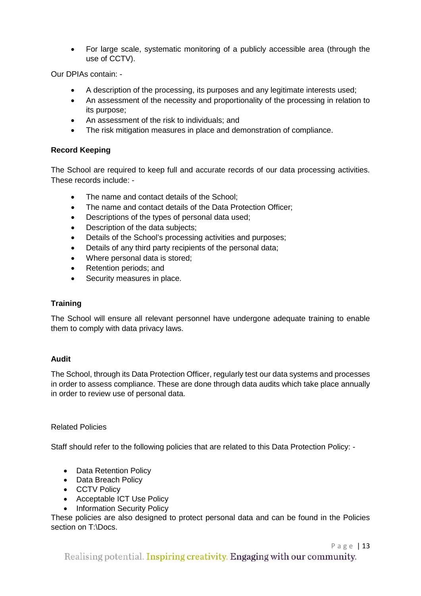• For large scale, systematic monitoring of a publicly accessible area (through the use of CCTV).

Our DPIAs contain: -

- A description of the processing, its purposes and any legitimate interests used;
- An assessment of the necessity and proportionality of the processing in relation to its purpose;
- An assessment of the risk to individuals; and
- The risk mitigation measures in place and demonstration of compliance.

# **Record Keeping**

The School are required to keep full and accurate records of our data processing activities. These records include: -

- The name and contact details of the School:
- The name and contact details of the Data Protection Officer:
- Descriptions of the types of personal data used;
- Description of the data subjects;
- Details of the School's processing activities and purposes;
- Details of any third party recipients of the personal data;
- Where personal data is stored;
- Retention periods; and
- Security measures in place.

# **Training**

The School will ensure all relevant personnel have undergone adequate training to enable them to comply with data privacy laws.

#### **Audit**

The School, through its Data Protection Officer, regularly test our data systems and processes in order to assess compliance. These are done through data audits which take place annually in order to review use of personal data.

#### Related Policies

Staff should refer to the following policies that are related to this Data Protection Policy: -

- Data Retention Policy
- Data Breach Policy
- CCTV Policy
- Acceptable ICT Use Policy
- Information Security Policy

These policies are also designed to protect personal data and can be found in the Policies section on T:\Docs.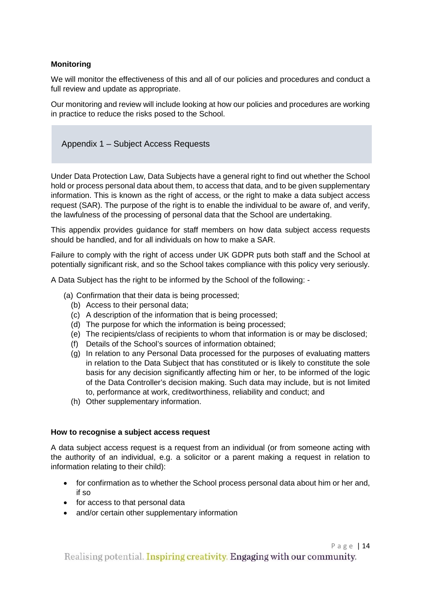# **Monitoring**

We will monitor the effectiveness of this and all of our policies and procedures and conduct a full review and update as appropriate.

Our monitoring and review will include looking at how our policies and procedures are working in practice to reduce the risks posed to the School.

# Appendix 1 – Subject Access Requests

Under Data Protection Law, Data Subjects have a general right to find out whether the School hold or process personal data about them, to access that data, and to be given supplementary information. This is known as the right of access, or the right to make a data subject access request (SAR). The purpose of the right is to enable the individual to be aware of, and verify, the lawfulness of the processing of personal data that the School are undertaking.

This appendix provides guidance for staff members on how data subject access requests should be handled, and for all individuals on how to make a SAR.

Failure to comply with the right of access under UK GDPR puts both staff and the School at potentially significant risk, and so the School takes compliance with this policy very seriously.

A Data Subject has the right to be informed by the School of the following: -

- (a) Confirmation that their data is being processed;
	- (b) Access to their personal data;
	- (c) A description of the information that is being processed;
	- (d) The purpose for which the information is being processed;
	- (e) The recipients/class of recipients to whom that information is or may be disclosed;
	- (f) Details of the School's sources of information obtained;
	- (g) In relation to any Personal Data processed for the purposes of evaluating matters in relation to the Data Subject that has constituted or is likely to constitute the sole basis for any decision significantly affecting him or her, to be informed of the logic of the Data Controller's decision making. Such data may include, but is not limited to, performance at work, creditworthiness, reliability and conduct; and
	- (h) Other supplementary information.

#### **How to recognise a subject access request**

A data subject access request is a request from an individual (or from someone acting with the authority of an individual, e.g. a solicitor or a parent making a request in relation to information relating to their child):

- for confirmation as to whether the School process personal data about him or her and, if so
- for access to that personal data
- and/or certain other supplementary information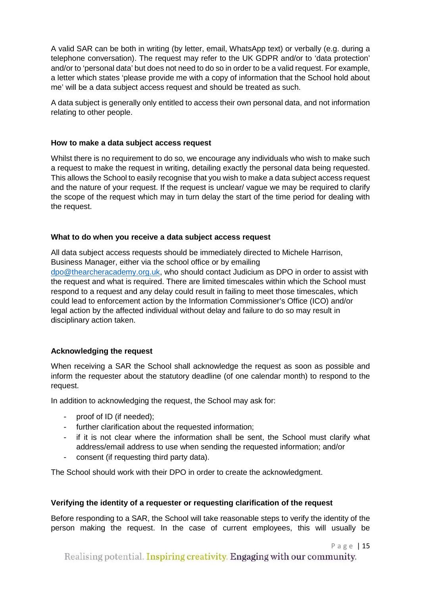A valid SAR can be both in writing (by letter, email, WhatsApp text) or verbally (e.g. during a telephone conversation). The request may refer to the UK GDPR and/or to 'data protection' and/or to 'personal data' but does not need to do so in order to be a valid request. For example, a letter which states 'please provide me with a copy of information that the School hold about me' will be a data subject access request and should be treated as such.

A data subject is generally only entitled to access their own personal data, and not information relating to other people.

#### **How to make a data subject access request**

Whilst there is no requirement to do so, we encourage any individuals who wish to make such a request to make the request in writing, detailing exactly the personal data being requested. This allows the School to easily recognise that you wish to make a data subject access request and the nature of your request. If the request is unclear/ vague we may be required to clarify the scope of the request which may in turn delay the start of the time period for dealing with the request.

# **What to do when you receive a data subject access request**

All data subject access requests should be immediately directed to Michele Harrison, Business Manager, either via the school office or by emailing [dpo@thearcheracademy.org.uk,](mailto:dpo@thearcheracademy.org.uk) who should contact Judicium as DPO in order to assist with the request and what is required. There are limited timescales within which the School must respond to a request and any delay could result in failing to meet those timescales, which could lead to enforcement action by the Information Commissioner's Office (ICO) and/or legal action by the affected individual without delay and failure to do so may result in disciplinary action taken.

# **Acknowledging the request**

When receiving a SAR the School shall acknowledge the request as soon as possible and inform the requester about the statutory deadline (of one calendar month) to respond to the request.

In addition to acknowledging the request, the School may ask for:

- proof of ID (if needed);
- further clarification about the requested information;
- if it is not clear where the information shall be sent, the School must clarify what address/email address to use when sending the requested information; and/or
- consent (if requesting third party data).

The School should work with their DPO in order to create the acknowledgment.

# **Verifying the identity of a requester or requesting clarification of the request**

Before responding to a SAR, the School will take reasonable steps to verify the identity of the person making the request. In the case of current employees, this will usually be

Page | 15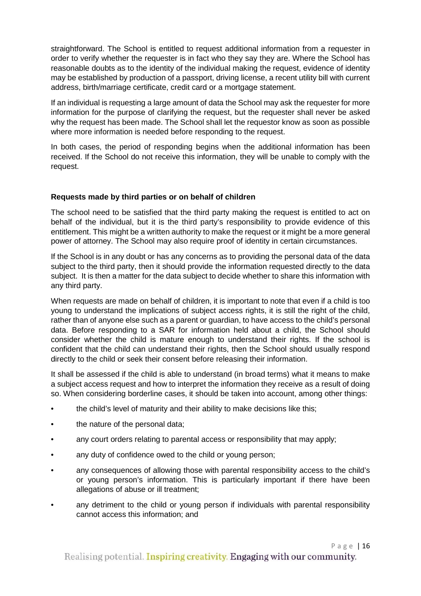straightforward. The School is entitled to request additional information from a requester in order to verify whether the requester is in fact who they say they are. Where the School has reasonable doubts as to the identity of the individual making the request, evidence of identity may be established by production of a passport, driving license, a recent utility bill with current address, birth/marriage certificate, credit card or a mortgage statement.

If an individual is requesting a large amount of data the School may ask the requester for more information for the purpose of clarifying the request, but the requester shall never be asked why the request has been made. The School shall let the requestor know as soon as possible where more information is needed before responding to the request.

In both cases, the period of responding begins when the additional information has been received. If the School do not receive this information, they will be unable to comply with the request.

# **Requests made by third parties or on behalf of children**

The school need to be satisfied that the third party making the request is entitled to act on behalf of the individual, but it is the third party's responsibility to provide evidence of this entitlement. This might be a written authority to make the request or it might be a more general power of attorney. The School may also require proof of identity in certain circumstances.

If the School is in any doubt or has any concerns as to providing the personal data of the data subject to the third party, then it should provide the information requested directly to the data subject. It is then a matter for the data subject to decide whether to share this information with any third party.

When requests are made on behalf of children, it is important to note that even if a child is too young to understand the implications of subject access rights, it is still the right of the child, rather than of anyone else such as a parent or guardian, to have access to the child's personal data. Before responding to a SAR for information held about a child, the School should consider whether the child is mature enough to understand their rights. If the school is confident that the child can understand their rights, then the School should usually respond directly to the child or seek their consent before releasing their information.

It shall be assessed if the child is able to understand (in broad terms) what it means to make a subject access request and how to interpret the information they receive as a result of doing so. When considering borderline cases, it should be taken into account, among other things:

- the child's level of maturity and their ability to make decisions like this;
- the nature of the personal data;
- any court orders relating to parental access or responsibility that may apply;
- any duty of confidence owed to the child or young person;
- any consequences of allowing those with parental responsibility access to the child's or young person's information. This is particularly important if there have been allegations of abuse or ill treatment;
- any detriment to the child or young person if individuals with parental responsibility cannot access this information; and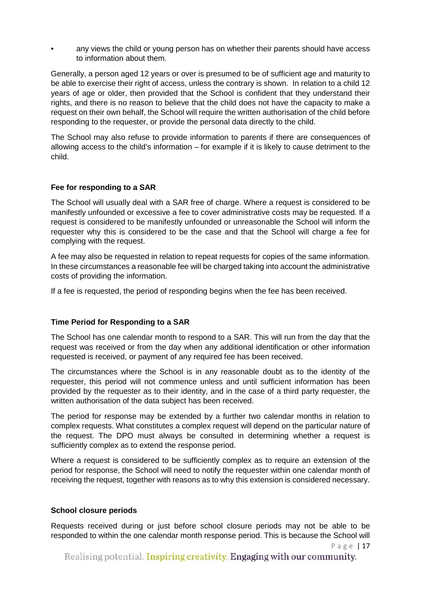• any views the child or young person has on whether their parents should have access to information about them.

Generally, a person aged 12 years or over is presumed to be of sufficient age and maturity to be able to exercise their right of access, unless the contrary is shown. In relation to a child 12 years of age or older, then provided that the School is confident that they understand their rights, and there is no reason to believe that the child does not have the capacity to make a request on their own behalf, the School will require the written authorisation of the child before responding to the requester, or provide the personal data directly to the child.

The School may also refuse to provide information to parents if there are consequences of allowing access to the child's information – for example if it is likely to cause detriment to the child.

# **Fee for responding to a SAR**

The School will usually deal with a SAR free of charge. Where a request is considered to be manifestly unfounded or excessive a fee to cover administrative costs may be requested. If a request is considered to be manifestly unfounded or unreasonable the School will inform the requester why this is considered to be the case and that the School will charge a fee for complying with the request.

A fee may also be requested in relation to repeat requests for copies of the same information. In these circumstances a reasonable fee will be charged taking into account the administrative costs of providing the information.

If a fee is requested, the period of responding begins when the fee has been received.

#### **Time Period for Responding to a SAR**

The School has one calendar month to respond to a SAR. This will run from the day that the request was received or from the day when any additional identification or other information requested is received, or payment of any required fee has been received.

The circumstances where the School is in any reasonable doubt as to the identity of the requester, this period will not commence unless and until sufficient information has been provided by the requester as to their identity, and in the case of a third party requester, the written authorisation of the data subject has been received.

The period for response may be extended by a further two calendar months in relation to complex requests. What constitutes a complex request will depend on the particular nature of the request. The DPO must always be consulted in determining whether a request is sufficiently complex as to extend the response period.

Where a request is considered to be sufficiently complex as to require an extension of the period for response, the School will need to notify the requester within one calendar month of receiving the request, together with reasons as to why this extension is considered necessary.

#### **School closure periods**

Requests received during or just before school closure periods may not be able to be responded to within the one calendar month response period. This is because the School will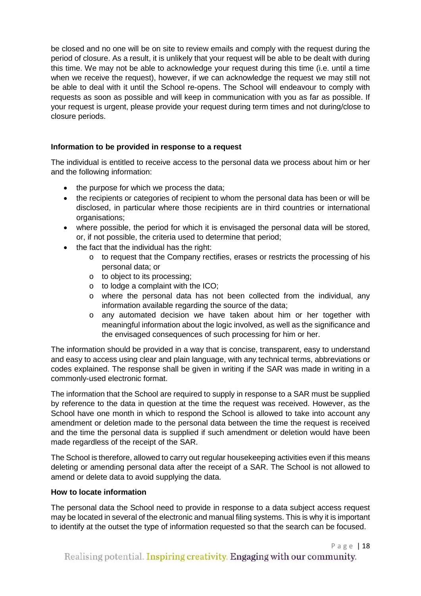be closed and no one will be on site to review emails and comply with the request during the period of closure. As a result, it is unlikely that your request will be able to be dealt with during this time. We may not be able to acknowledge your request during this time (i.e. until a time when we receive the request), however, if we can acknowledge the request we may still not be able to deal with it until the School re-opens. The School will endeavour to comply with requests as soon as possible and will keep in communication with you as far as possible. If your request is urgent, please provide your request during term times and not during/close to closure periods.

# **Information to be provided in response to a request**

The individual is entitled to receive access to the personal data we process about him or her and the following information:

- the purpose for which we process the data;
- the recipients or categories of recipient to whom the personal data has been or will be disclosed, in particular where those recipients are in third countries or international organisations;
- where possible, the period for which it is envisaged the personal data will be stored, or, if not possible, the criteria used to determine that period;
- the fact that the individual has the right:
	- o to request that the Company rectifies, erases or restricts the processing of his personal data; or
	- o to object to its processing;
	- o to lodge a complaint with the ICO;
	- o where the personal data has not been collected from the individual, any information available regarding the source of the data;
	- o any automated decision we have taken about him or her together with meaningful information about the logic involved, as well as the significance and the envisaged consequences of such processing for him or her.

The information should be provided in a way that is concise, transparent, easy to understand and easy to access using clear and plain language, with any technical terms, abbreviations or codes explained. The response shall be given in writing if the SAR was made in writing in a commonly-used electronic format.

The information that the School are required to supply in response to a SAR must be supplied by reference to the data in question at the time the request was received. However, as the School have one month in which to respond the School is allowed to take into account any amendment or deletion made to the personal data between the time the request is received and the time the personal data is supplied if such amendment or deletion would have been made regardless of the receipt of the SAR.

The School is therefore, allowed to carry out regular housekeeping activities even if this means deleting or amending personal data after the receipt of a SAR. The School is not allowed to amend or delete data to avoid supplying the data.

#### **How to locate information**

The personal data the School need to provide in response to a data subject access request may be located in several of the electronic and manual filing systems. This is why it is important to identify at the outset the type of information requested so that the search can be focused.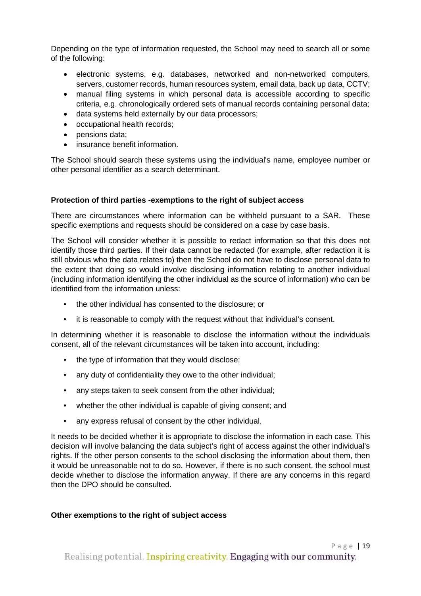Depending on the type of information requested, the School may need to search all or some of the following:

- electronic systems, e.g. databases, networked and non-networked computers, servers, customer records, human resources system, email data, back up data, CCTV;
- manual filing systems in which personal data is accessible according to specific criteria, e.g. chronologically ordered sets of manual records containing personal data;
- data systems held externally by our data processors;
- occupational health records;
- pensions data;
- insurance benefit information.

The School should search these systems using the individual's name, employee number or other personal identifier as a search determinant.

#### **Protection of third parties -exemptions to the right of subject access**

There are circumstances where information can be withheld pursuant to a SAR. These specific exemptions and requests should be considered on a case by case basis.

The School will consider whether it is possible to redact information so that this does not identify those third parties. If their data cannot be redacted (for example, after redaction it is still obvious who the data relates to) then the School do not have to disclose personal data to the extent that doing so would involve disclosing information relating to another individual (including information identifying the other individual as the source of information) who can be identified from the information unless:

- the other individual has consented to the disclosure; or
- it is reasonable to comply with the request without that individual's consent.

In determining whether it is reasonable to disclose the information without the individuals consent, all of the relevant circumstances will be taken into account, including:

- the type of information that they would disclose;
- any duty of confidentiality they owe to the other individual;
- any steps taken to seek consent from the other individual;
- whether the other individual is capable of giving consent; and
- any express refusal of consent by the other individual.

It needs to be decided whether it is appropriate to disclose the information in each case. This decision will involve balancing the data subject's right of access against the other individual's rights. If the other person consents to the school disclosing the information about them, then it would be unreasonable not to do so. However, if there is no such consent, the school must decide whether to disclose the information anyway. If there are any concerns in this regard then the DPO should be consulted.

#### **Other exemptions to the right of subject access**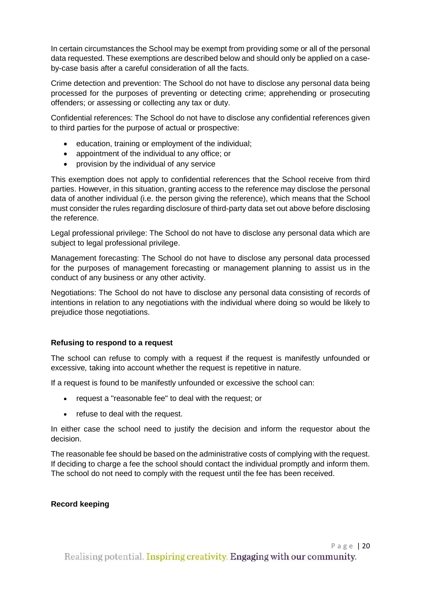In certain circumstances the School may be exempt from providing some or all of the personal data requested. These exemptions are described below and should only be applied on a caseby-case basis after a careful consideration of all the facts.

Crime detection and prevention: The School do not have to disclose any personal data being processed for the purposes of preventing or detecting crime; apprehending or prosecuting offenders; or assessing or collecting any tax or duty.

Confidential references: The School do not have to disclose any confidential references given to third parties for the purpose of actual or prospective:

- education, training or employment of the individual;
- appointment of the individual to any office; or
- provision by the individual of any service

This exemption does not apply to confidential references that the School receive from third parties. However, in this situation, granting access to the reference may disclose the personal data of another individual (i.e. the person giving the reference), which means that the School must consider the rules regarding disclosure of third-party data set out above before disclosing the reference.

Legal professional privilege: The School do not have to disclose any personal data which are subject to legal professional privilege.

Management forecasting: The School do not have to disclose any personal data processed for the purposes of management forecasting or management planning to assist us in the conduct of any business or any other activity.

Negotiations: The School do not have to disclose any personal data consisting of records of intentions in relation to any negotiations with the individual where doing so would be likely to prejudice those negotiations.

#### **Refusing to respond to a request**

The school can refuse to comply with a request if the request is manifestly unfounded or excessive*,* taking into account whether the request is repetitive in nature.

If a request is found to be manifestly unfounded or excessive the school can:

- request a "reasonable fee" to deal with the request; or
- refuse to deal with the request.

In either case the school need to justify the decision and inform the requestor about the decision.

The reasonable fee should be based on the administrative costs of complying with the request. If deciding to charge a fee the school should contact the individual promptly and inform them. The school do not need to comply with the request until the fee has been received.

#### **Record keeping**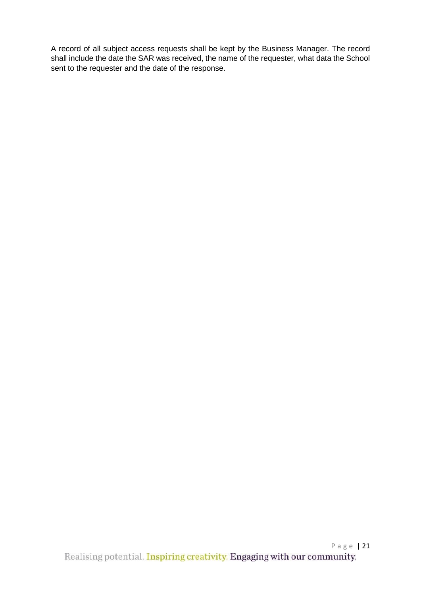A record of all subject access requests shall be kept by the Business Manager. The record shall include the date the SAR was received, the name of the requester, what data the School sent to the requester and the date of the response.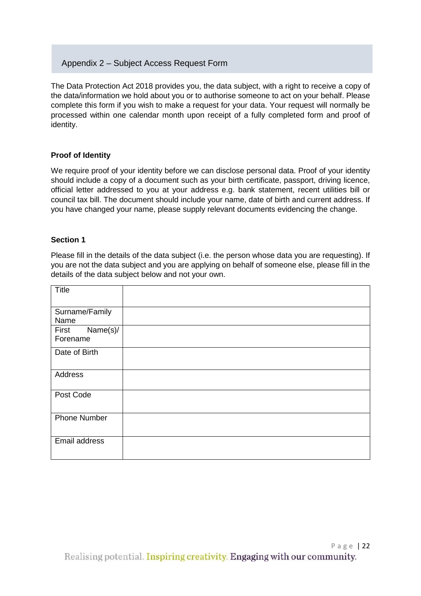# Appendix 2 – Subject Access Request Form

The Data Protection Act 2018 provides you, the data subject, with a right to receive a copy of the data/information we hold about you or to authorise someone to act on your behalf. Please complete this form if you wish to make a request for your data. Your request will normally be processed within one calendar month upon receipt of a fully completed form and proof of identity.

# **Proof of Identity**

We require proof of your identity before we can disclose personal data. Proof of your identity should include a copy of a document such as your birth certificate, passport, driving licence, official letter addressed to you at your address e.g. bank statement, recent utilities bill or council tax bill. The document should include your name, date of birth and current address. If you have changed your name, please supply relevant documents evidencing the change.

#### **Section 1**

Please fill in the details of the data subject (i.e. the person whose data you are requesting). If you are not the data subject and you are applying on behalf of someone else, please fill in the details of the data subject below and not your own.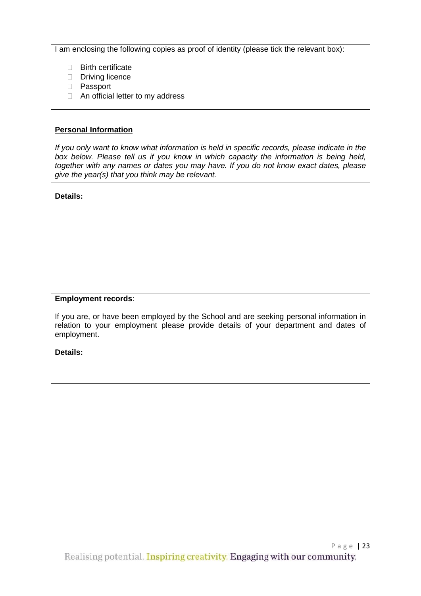I am enclosing the following copies as proof of identity (please tick the relevant box):

- □ Birth certificate
- Driving licence
- D Passport
- □ An official letter to my address

#### **Personal Information**

*If you only want to know what information is held in specific records, please indicate in the box below. Please tell us if you know in which capacity the information is being held, together with any names or dates you may have. If you do not know exact dates, please give the year(s) that you think may be relevant.* 

**Details:** 

#### **Employment records**:

If you are, or have been employed by the School and are seeking personal information in relation to your employment please provide details of your department and dates of employment.

**Details:**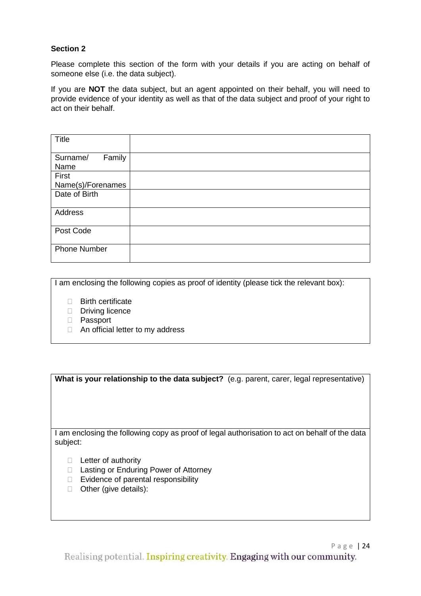# **Section 2**

Please complete this section of the form with your details if you are acting on behalf of someone else (i.e. the data subject).

If you are **NOT** the data subject, but an agent appointed on their behalf, you will need to provide evidence of your identity as well as that of the data subject and proof of your right to act on their behalf.

| Title                      |  |
|----------------------------|--|
| Family<br>Surname/<br>Name |  |
| First                      |  |
| Name(s)/Forenames          |  |
| Date of Birth              |  |
| Address                    |  |
| Post Code                  |  |
| <b>Phone Number</b>        |  |

I am enclosing the following copies as proof of identity (please tick the relevant box):

- **Birth certificate**
- Driving licence
- D Passport
- □ An official letter to my address

**What is your relationship to the data subject?** (e.g. parent, carer, legal representative)

I am enclosing the following copy as proof of legal authorisation to act on behalf of the data subject:

- $\Box$  Letter of authority
- □ Lasting or Enduring Power of Attorney
- □ Evidence of parental responsibility
- □ Other (give details):